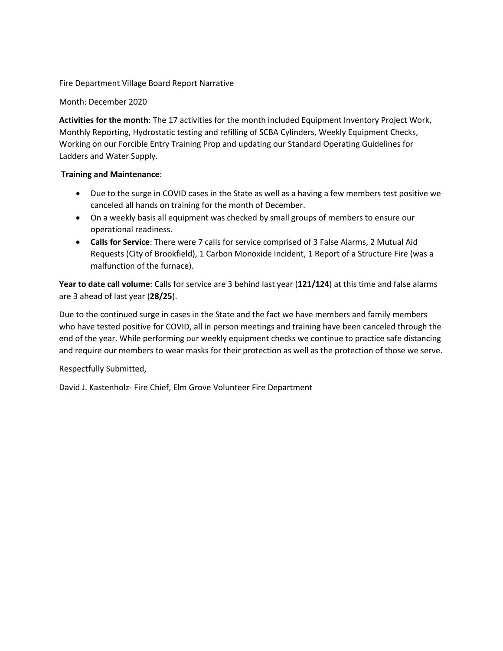Fire Department Village Board Report Narrative

Month: December 2020

**Activities for the month**: The 17 activities for the month included Equipment Inventory Project Work, Monthly Reporting, Hydrostatic testing and refilling of SCBA Cylinders, Weekly Equipment Checks, Working on our Forcible Entry Training Prop and updating our Standard Operating Guidelines for Ladders and Water Supply.

## **Training and Maintenance**:

- Due to the surge in COVID cases in the State as well as a having a few members test positive we canceled all hands on training for the month of December.
- On a weekly basis all equipment was checked by small groups of members to ensure our operational readiness.
- **Calls for Service**: There were 7 calls for service comprised of 3 False Alarms, 2 Mutual Aid Requests (City of Brookfield), 1 Carbon Monoxide Incident, 1 Report of a Structure Fire (was a malfunction of the furnace).

**Year to date call volume**: Calls for service are 3 behind last year (**121/124**) at this time and false alarms are 3 ahead of last year (**28/25**).

Due to the continued surge in cases in the State and the fact we have members and family members who have tested positive for COVID, all in person meetings and training have been canceled through the end of the year. While performing our weekly equipment checks we continue to practice safe distancing and require our members to wear masks for their protection as well as the protection of those we serve.

Respectfully Submitted,

David J. Kastenholz- Fire Chief, Elm Grove Volunteer Fire Department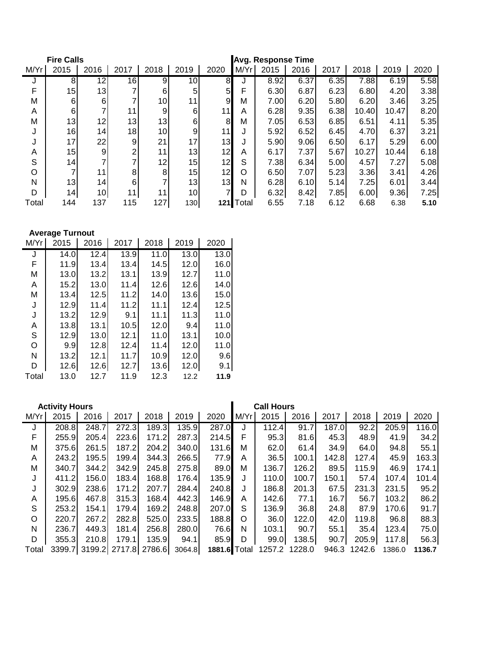| <b>Fire Calls</b> |                 |                 |                 |                 | <b>Avg. Response Time</b> |                 |       |      |      |      |       |       |      |
|-------------------|-----------------|-----------------|-----------------|-----------------|---------------------------|-----------------|-------|------|------|------|-------|-------|------|
| M/Yr              | 2015            | 2016            | 2017            | 2018            | 2019                      | 2020            | M/Yr  | 2015 | 2016 | 2017 | 2018  | 2019  | 2020 |
|                   | 8               | 12              | 16              | 9               | 10 <sup>1</sup>           | 8               |       | 8.92 | 6.37 | 6.35 | 7.88  | 6.19  | 5.58 |
| F                 | 15              | 13              |                 | 6               | 5                         | 5 <sub>l</sub>  | F     | 6.30 | 6.87 | 6.23 | 6.80  | 4.20  | 3.38 |
| Μ                 | $6 \mid$        | 6               |                 | 10 <sup>1</sup> | 11                        | 9               | M     | 7.00 | 6.20 | 5.80 | 6.20  | 3.46  | 3.25 |
| A                 | $6 \mid$        | 7               | 11              | 9               | 6                         | 11              | A     | 6.28 | 9.35 | 6.38 | 10.40 | 10.47 | 8.20 |
| M                 | 13              | 12              | 13              | 13              | $6 \mid$                  | 8               | M     | 7.05 | 6.53 | 6.85 | 6.51  | 4.11  | 5.35 |
|                   | 16              | 14              | 18 <sub>l</sub> | 10I             | 9                         | 11              |       | 5.92 | 6.52 | 6.45 | 4.70  | 6.37  | 3.21 |
|                   | 17 <sub>1</sub> | 22              | 9               | 21              | 17                        | 13 <sub>l</sub> | J     | 5.90 | 9.06 | 6.50 | 6.17  | 5.29  | 6.00 |
| A                 | 15              | 9               | 2               | 11              | 13                        | 12              | A     | 6.17 | 7.37 | 5.67 | 10.27 | 10.44 | 6.18 |
| S                 | 14 <sup>1</sup> | 7               | ⇁               | 12              | 15                        | 12              | S     | 7.38 | 6.34 | 5.00 | 4.57  | 7.27  | 5.08 |
| O                 | 7               | 11              | 8               | 8               | 15                        | 12              | O     | 6.50 | 7.07 | 5.23 | 3.36  | 3.41  | 4.26 |
| N                 | 13              | 14 <sub>1</sub> | 6               |                 | 13                        | 13              | N     | 6.28 | 6.10 | 5.14 | 7.25  | 6.01  | 3.44 |
| D                 | 14              | 10 <sup>1</sup> | 11              | 11              | 10 <sup>1</sup>           | $\overline{7}$  | D     | 6.32 | 8.42 | 7.85 | 6.00  | 9.36  | 7.25 |
| Total             | 144             | 137             | 115             | 127             | 130                       | 121             | Total | 6.55 | 7.18 | 6.12 | 6.68  | 6.38  | 5.10 |

**Average Turnout**

| M/Yr  | 2015 | 2016 | 2017 | 2018 | 2019 | 2020 |
|-------|------|------|------|------|------|------|
| J     | 14.0 | 12.4 | 13.9 | 11.0 | 13.0 | 13.0 |
| F     | 11.9 | 13.4 | 13.4 | 14.5 | 12.0 | 16.0 |
| M     | 13.0 | 13.2 | 13.1 | 13.9 | 12.7 | 11.0 |
| A     | 15.2 | 13.0 | 11.4 | 12.6 | 12.6 | 14.0 |
| Μ     | 13.4 | 12.5 | 11.2 | 14.0 | 13.6 | 15.0 |
| J     | 12.9 | 11.4 | 11.2 | 11.1 | 12.4 | 12.5 |
| J     | 13.2 | 12.9 | 9.1  | 11.1 | 11.3 | 11.0 |
| A     | 13.8 | 13.1 | 10.5 | 12.0 | 9.4  | 11.0 |
| S     | 12.9 | 13.0 | 12.1 | 11.0 | 13.1 | 10.0 |
| O     | 9.9  | 12.8 | 12.4 | 11.4 | 12.0 | 11.0 |
| N     | 13.2 | 12.1 | 11.7 | 10.9 | 12.0 | 9.6  |
| D     | 12.6 | 12.6 | 12.7 | 13.6 | 12.0 | 9.1  |
| Total | 13.0 | 12.7 | 11.9 | 12.3 | 12.2 | 11.9 |

|       | <b>Activity Hours</b> |       |       |                      |        |              |      | <b>Call Hours</b> |               |       |              |        |        |
|-------|-----------------------|-------|-------|----------------------|--------|--------------|------|-------------------|---------------|-------|--------------|--------|--------|
| M/Yr  | 2015                  | 2016  | 2017  | 2018                 | 2019   | 2020         | M/Yr | 2015              | 2016          | 2017  | 2018         | 2019   | 2020   |
| J     | 208.8                 | 248.7 | 272.3 | 189.3                | 135.9  | 287.0        | J    | 112.4             | 91.7          | 187.0 | 92.2         | 205.9  | 116.0  |
| F     | 255.9                 | 205.4 | 223.6 | 171.2                | 287.3  | 214.5        | F    | 95.3              | 81.6          | 45.3  | 48.9         | 41.9   | 34.2   |
| М     | 375.6                 | 261.5 | 187.2 | 204.2                | 340.0  | 131.6        | м    | 62.0              | 61.4          | 34.9  | 64.0         | 94.8   | 55.1   |
| A     | 243.2                 | 195.5 | 199.4 | 344.3                | 266.5  | 77.9         | A    | 36.5              | 100.1         | 142.8 | 127.4        | 45.9   | 163.3  |
| М     | 340.7                 | 344.2 | 342.9 | 245.8                | 275.8  | 89.0         | М    | 136.7             | 126.2         | 89.5  | 115.9        | 46.9   | 174.1  |
| J     | 411.2                 | 156.0 | 183.4 | 168.8                | 176.4  | 135.9        | J    | 110.0             | 100.7         | 150.1 | 57.4         | 107.4  | 101.4  |
| J     | 302.9                 | 238.6 | 171.2 | 207.7                | 284.4  | 240.8        | J    | 186.8             | 201.3         | 67.5  | 231.3        | 231.5  | 95.2   |
| A     | 195.6                 | 467.8 | 315.3 | 168.4                | 442.3  | 146.9        | A    | 142.6             | 77.1          | 16.7  | 56.7         | 103.2  | 86.2   |
| S     | 253.2                 | 154.1 | 179.4 | 169.2                | 248.8  | 207.0        | S    | 136.9             | 36.8          | 24.8I | 87.9         | 170.6I | 91.7   |
| O     | 220.7                 | 267.2 | 282.8 | 525.0                | 233.5  | 188.8        | O    | 36.0              | 122.0         | 42.0  | 119.8        | 96.8   | 88.3   |
| N     | 236.7                 | 449.3 | 181.4 | 256.8                | 280.0  | 76.6         | N    | 103.1             | 90.7          | 55.1  | 35.4         | 123.4  | 75.0   |
| D     | 355.3                 | 210.8 | 179.1 | 135.9                | 94.1   | 85.9         | D    | 99.0              | 138.5         | 90.7  | 205.9        | 117.8  | 56.3   |
| Total | 3399.7                |       |       | 3199.2 2717.8 2786.6 | 3064.8 | 1881.6 Total |      |                   | 1257.2 1228.0 |       | 946.3 1242.6 | 1386.0 | 1136.7 |
|       |                       |       |       |                      |        |              |      |                   |               |       |              |        |        |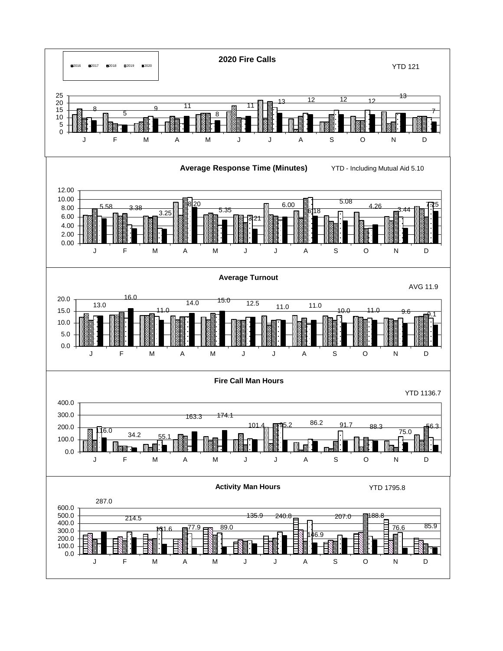